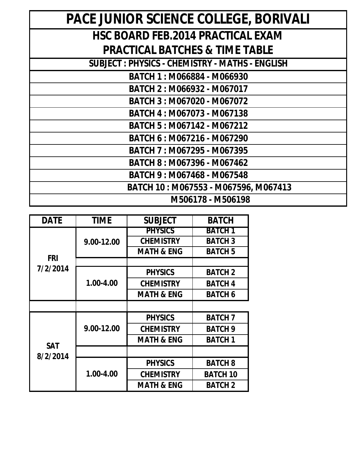| <b>DATE</b>            | <b>TIME</b> | <b>SUBJECT</b>        | <b>BATCH</b>    |
|------------------------|-------------|-----------------------|-----------------|
| <b>FRI</b><br>7/2/2014 | 9.00-12.00  | <b>PHYSICS</b>        | <b>BATCH 1</b>  |
|                        |             | <b>CHEMISTRY</b>      | <b>BATCH 3</b>  |
|                        |             | <b>MATH &amp; ENG</b> | <b>BATCH 5</b>  |
|                        |             |                       |                 |
|                        | 1.00-4.00   | <b>PHYSICS</b>        | <b>BATCH 2</b>  |
|                        |             | <b>CHEMISTRY</b>      | <b>BATCH 4</b>  |
|                        |             | <b>MATH &amp; ENG</b> | <b>BATCH 6</b>  |
|                        |             |                       |                 |
| <b>SAT</b><br>8/2/2014 | 9.00-12.00  | <b>PHYSICS</b>        | <b>BATCH 7</b>  |
|                        |             | <b>CHEMISTRY</b>      | <b>BATCH 9</b>  |
|                        |             | <b>MATH &amp; ENG</b> | <b>BATCH 1</b>  |
|                        |             |                       |                 |
|                        | 1.00-4.00   | <b>PHYSICS</b>        | <b>BATCH 8</b>  |
|                        |             | <b>CHEMISTRY</b>      | <b>BATCH 10</b> |
|                        |             | <b>MATH &amp; ENG</b> | <b>BATCH 2</b>  |